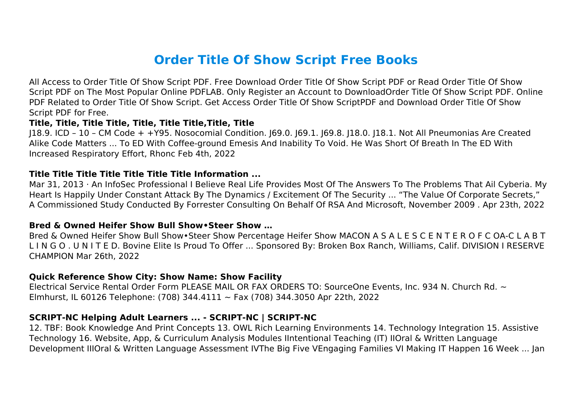# **Order Title Of Show Script Free Books**

All Access to Order Title Of Show Script PDF. Free Download Order Title Of Show Script PDF or Read Order Title Of Show Script PDF on The Most Popular Online PDFLAB. Only Register an Account to DownloadOrder Title Of Show Script PDF. Online PDF Related to Order Title Of Show Script. Get Access Order Title Of Show ScriptPDF and Download Order Title Of Show Script PDF for Free.

#### **Title, Title, Title Title, Title, Title Title,Title, Title**

J18.9. ICD – 10 – CM Code + +Y95. Nosocomial Condition. J69.0. J69.1. J69.8. J18.0. J18.1. Not All Pneumonias Are Created Alike Code Matters ... To ED With Coffee-ground Emesis And Inability To Void. He Was Short Of Breath In The ED With Increased Respiratory Effort, Rhonc Feb 4th, 2022

#### **Title Title Title Title Title Title Title Information ...**

Mar 31, 2013 · An InfoSec Professional I Believe Real Life Provides Most Of The Answers To The Problems That Ail Cyberia. My Heart Is Happily Under Constant Attack By The Dynamics / Excitement Of The Security ... "The Value Of Corporate Secrets," A Commissioned Study Conducted By Forrester Consulting On Behalf Of RSA And Microsoft, November 2009 . Apr 23th, 2022

#### **Bred & Owned Heifer Show Bull Show•Steer Show …**

Bred & Owned Heifer Show Bull Show•Steer Show Percentage Heifer Show MACON A S A L E S C E N T E R O F C OA-C L A B T L I N G O . U N I T E D. Bovine Elite Is Proud To Offer ... Sponsored By: Broken Box Ranch, Williams, Calif. DIVISION I RESERVE CHAMPION Mar 26th, 2022

#### **Quick Reference Show City: Show Name: Show Facility**

Electrical Service Rental Order Form PLEASE MAIL OR FAX ORDERS TO: SourceOne Events, Inc. 934 N. Church Rd. ~ Elmhurst, IL 60126 Telephone: (708) 344.4111 ~ Fax (708) 344.3050 Apr 22th, 2022

#### **SCRIPT-NC Helping Adult Learners ... - SCRIPT-NC | SCRIPT-NC**

12. TBF: Book Knowledge And Print Concepts 13. OWL Rich Learning Environments 14. Technology Integration 15. Assistive Technology 16. Website, App, & Curriculum Analysis Modules IIntentional Teaching (IT) IIOral & Written Language Development IIIOral & Written Language Assessment IVThe Big Five VEngaging Families VI Making IT Happen 16 Week ... Jan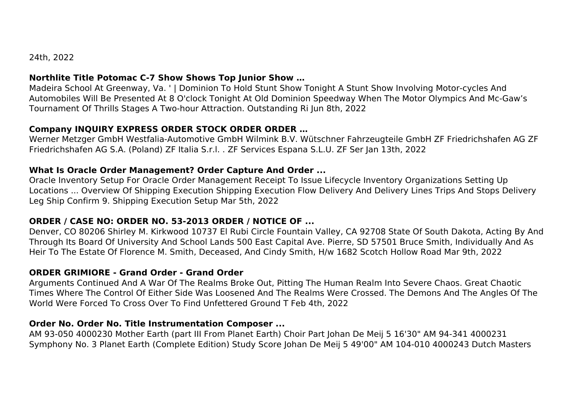24th, 2022

# **Northlite Title Potomac C-7 Show Shows Top Junior Show …**

Madeira School At Greenway, Va. ' | Dominion To Hold Stunt Show Tonight A Stunt Show Involving Motor-cycles And Automobiles Will Be Presented At 8 O'clock Tonight At Old Dominion Speedway When The Motor Olympics And Mc-Gaw's Tournament Of Thrills Stages A Two-hour Attraction. Outstanding Ri Jun 8th, 2022

# **Company INQUIRY EXPRESS ORDER STOCK ORDER ORDER …**

Werner Metzger GmbH Westfalia-Automotive GmbH Wilmink B.V. Wütschner Fahrzeugteile GmbH ZF Friedrichshafen AG ZF Friedrichshafen AG S.A. (Poland) ZF Italia S.r.l. . ZF Services Espana S.L.U. ZF Ser Jan 13th, 2022

# **What Is Oracle Order Management? Order Capture And Order ...**

Oracle Inventory Setup For Oracle Order Management Receipt To Issue Lifecycle Inventory Organizations Setting Up Locations ... Overview Of Shipping Execution Shipping Execution Flow Delivery And Delivery Lines Trips And Stops Delivery Leg Ship Confirm 9. Shipping Execution Setup Mar 5th, 2022

# **ORDER / CASE NO: ORDER NO. 53-2013 ORDER / NOTICE OF ...**

Denver, CO 80206 Shirley M. Kirkwood 10737 El Rubi Circle Fountain Valley, CA 92708 State Of South Dakota, Acting By And Through Its Board Of University And School Lands 500 East Capital Ave. Pierre, SD 57501 Bruce Smith, Individually And As Heir To The Estate Of Florence M. Smith, Deceased, And Cindy Smith, H/w 1682 Scotch Hollow Road Mar 9th, 2022

# **ORDER GRIMIORE - Grand Order - Grand Order**

Arguments Continued And A War Of The Realms Broke Out, Pitting The Human Realm Into Severe Chaos. Great Chaotic Times Where The Control Of Either Side Was Loosened And The Realms Were Crossed. The Demons And The Angles Of The World Were Forced To Cross Over To Find Unfettered Ground T Feb 4th, 2022

# **Order No. Order No. Title Instrumentation Composer ...**

AM 93-050 4000230 Mother Earth (part III From Planet Earth) Choir Part Johan De Meij 5 16'30" AM 94-341 4000231 Symphony No. 3 Planet Earth (Complete Edition) Study Score Johan De Meij 5 49'00" AM 104-010 4000243 Dutch Masters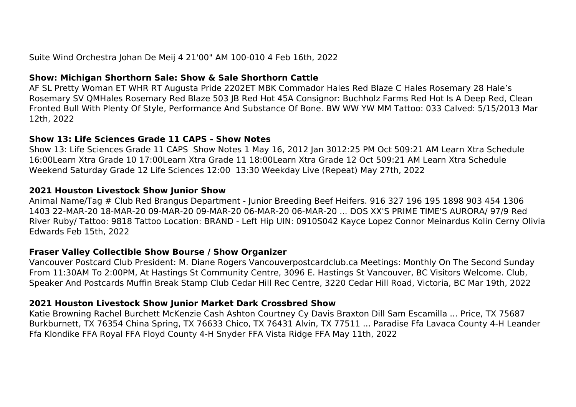Suite Wind Orchestra Johan De Meij 4 21'00" AM 100-010 4 Feb 16th, 2022

#### **Show: Michigan Shorthorn Sale: Show & Sale Shorthorn Cattle**

AF SL Pretty Woman ET WHR RT Augusta Pride 2202ET MBK Commador Hales Red Blaze C Hales Rosemary 28 Hale's Rosemary SV QMHales Rosemary Red Blaze 503 JB Red Hot 45A Consignor: Buchholz Farms Red Hot Is A Deep Red, Clean Fronted Bull With Plenty Of Style, Performance And Substance Of Bone. BW WW YW MM Tattoo: 033 Calved: 5/15/2013 Mar 12th, 2022

#### **Show 13: Life Sciences Grade 11 CAPS - Show Notes**

Show 13: Life Sciences Grade 11 CAPS Show Notes 1 May 16, 2012 Jan 3012:25 PM Oct 509:21 AM Learn Xtra Schedule 16:00Learn Xtra Grade 10 17:00Learn Xtra Grade 11 18:00Learn Xtra Grade 12 Oct 509:21 AM Learn Xtra Schedule Weekend Saturday Grade 12 Life Sciences 12:00 13:30 Weekday Live (Repeat) May 27th, 2022

#### **2021 Houston Livestock Show Junior Show**

Animal Name/Tag # Club Red Brangus Department - Junior Breeding Beef Heifers. 916 327 196 195 1898 903 454 1306 1403 22-MAR-20 18-MAR-20 09-MAR-20 09-MAR-20 06-MAR-20 06-MAR-20 ... DOS XX'S PRIME TIME'S AURORA/ 97/9 Red River Ruby/ Tattoo: 9818 Tattoo Location: BRAND - Left Hip UIN: 0910S042 Kayce Lopez Connor Meinardus Kolin Cerny Olivia Edwards Feb 15th, 2022

#### **Fraser Valley Collectible Show Bourse / Show Organizer**

Vancouver Postcard Club President: M. Diane Rogers Vancouverpostcardclub.ca Meetings: Monthly On The Second Sunday From 11:30AM To 2:00PM, At Hastings St Community Centre, 3096 E. Hastings St Vancouver, BC Visitors Welcome. Club, Speaker And Postcards Muffin Break Stamp Club Cedar Hill Rec Centre, 3220 Cedar Hill Road, Victoria, BC Mar 19th, 2022

#### **2021 Houston Livestock Show Junior Market Dark Crossbred Show**

Katie Browning Rachel Burchett McKenzie Cash Ashton Courtney Cy Davis Braxton Dill Sam Escamilla ... Price, TX 75687 Burkburnett, TX 76354 China Spring, TX 76633 Chico, TX 76431 Alvin, TX 77511 ... Paradise Ffa Lavaca County 4-H Leander Ffa Klondike FFA Royal FFA Floyd County 4-H Snyder FFA Vista Ridge FFA May 11th, 2022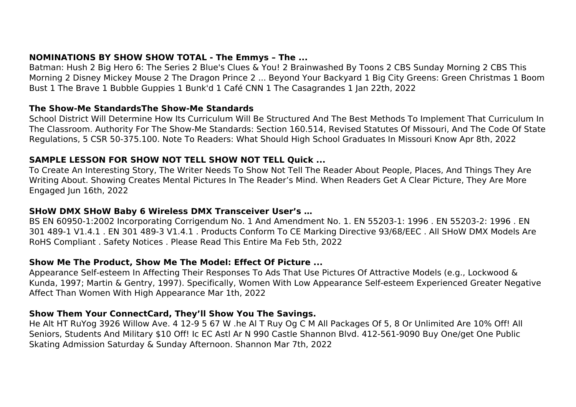## **NOMINATIONS BY SHOW SHOW TOTAL - The Emmys – The ...**

Batman: Hush 2 Big Hero 6: The Series 2 Blue's Clues & You! 2 Brainwashed By Toons 2 CBS Sunday Morning 2 CBS This Morning 2 Disney Mickey Mouse 2 The Dragon Prince 2 ... Beyond Your Backyard 1 Big City Greens: Green Christmas 1 Boom Bust 1 The Brave 1 Bubble Guppies 1 Bunk'd 1 Café CNN 1 The Casagrandes 1 Jan 22th, 2022

#### **The Show-Me StandardsThe Show-Me Standards**

School District Will Determine How Its Curriculum Will Be Structured And The Best Methods To Implement That Curriculum In The Classroom. Authority For The Show-Me Standards: Section 160.514, Revised Statutes Of Missouri, And The Code Of State Regulations, 5 CSR 50-375.100. Note To Readers: What Should High School Graduates In Missouri Know Apr 8th, 2022

## **SAMPLE LESSON FOR SHOW NOT TELL SHOW NOT TELL Quick ...**

To Create An Interesting Story, The Writer Needs To Show Not Tell The Reader About People, Places, And Things They Are Writing About. Showing Creates Mental Pictures In The Reader's Mind. When Readers Get A Clear Picture, They Are More Engaged Jun 16th, 2022

#### **SHoW DMX SHoW Baby 6 Wireless DMX Transceiver User's …**

BS EN 60950-1:2002 Incorporating Corrigendum No. 1 And Amendment No. 1. EN 55203-1: 1996 . EN 55203-2: 1996 . EN 301 489-1 V1.4.1 . EN 301 489-3 V1.4.1 . Products Conform To CE Marking Directive 93/68/EEC . All SHoW DMX Models Are RoHS Compliant . Safety Notices . Please Read This Entire Ma Feb 5th, 2022

#### **Show Me The Product, Show Me The Model: Effect Of Picture ...**

Appearance Self-esteem In Affecting Their Responses To Ads That Use Pictures Of Attractive Models (e.g., Lockwood & Kunda, 1997; Martin & Gentry, 1997). Specifically, Women With Low Appearance Self-esteem Experienced Greater Negative Affect Than Women With High Appearance Mar 1th, 2022

#### **Show Them Your ConnectCard, They'll Show You The Savings.**

He Alt HT RuYog 3926 Willow Ave. 4 12-9 5 67 W .he Al T Ruy Og C M All Packages Of 5, 8 Or Unlimited Are 10% Off! All Seniors, Students And Military \$10 Off! Ic EC Astl Ar N 990 Castle Shannon Blvd. 412-561-9090 Buy One/get One Public Skating Admission Saturday & Sunday Afternoon. Shannon Mar 7th, 2022